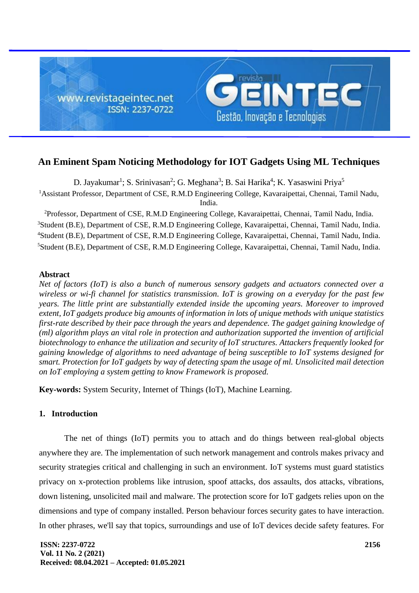

# **An Eminent Spam Noticing Methodology for IOT Gadgets Using ML Techniques**

D. Jayakumar<sup>1</sup>; S. Srinivasan<sup>2</sup>; G. Meghana<sup>3</sup>; B. Sai Harika<sup>4</sup>; K. Yasaswini Priya<sup>5</sup> <sup>1</sup> Assistant Professor, Department of CSE, R.M.D Engineering College, Kavaraipettai, Chennai, Tamil Nadu, India.

Professor, Department of CSE, R.M.D Engineering College, Kavaraipettai, Chennai, Tamil Nadu, India. Student (B.E), Department of CSE, R.M.D Engineering College, Kavaraipettai, Chennai, Tamil Nadu, India. Student (B.E), Department of CSE, R.M.D Engineering College, Kavaraipettai, Chennai, Tamil Nadu, India. Student (B.E), Department of CSE, R.M.D Engineering College, Kavaraipettai, Chennai, Tamil Nadu, India.

### **Abstract**

*Net of factors (IoT) is also a bunch of numerous sensory gadgets and actuators connected over a wireless or wi-fi channel for statistics transmission. IoT is growing on a everyday for the past few years. The little print are substantially extended inside the upcoming years. Moreover to improved extent, IoT gadgets produce big amounts of information in lots of unique methods with unique statistics first-rate described by their pace through the years and dependence. The gadget gaining knowledge of (ml) algorithm plays an vital role in protection and authorization supported the invention of artificial biotechnology to enhance the utilization and security of IoT structures. Attackers frequently looked for gaining knowledge of algorithms to need advantage of being susceptible to IoT systems designed for smart. Protection for IoT gadgets by way of detecting spam the usage of ml. Unsolicited mail detection on IoT employing a system getting to know Framework is proposed.*

**Key-words:** System Security, Internet of Things (IoT), Machine Learning.

# **1. Introduction**

The net of things (IoT) permits you to attach and do things between real-global objects anywhere they are. The implementation of such network management and controls makes privacy and security strategies critical and challenging in such an environment. IoT systems must guard statistics privacy on x-protection problems like intrusion, spoof attacks, dos assaults, dos attacks, vibrations, down listening, unsolicited mail and malware. The protection score for IoT gadgets relies upon on the dimensions and type of company installed. Person behaviour forces security gates to have interaction. In other phrases, we'll say that topics, surroundings and use of IoT devices decide safety features. For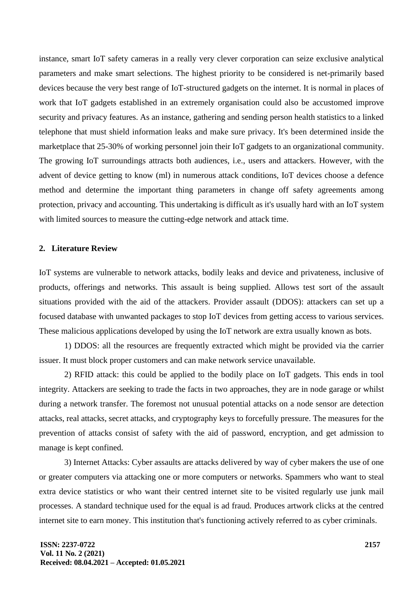instance, smart IoT safety cameras in a really very clever corporation can seize exclusive analytical parameters and make smart selections. The highest priority to be considered is net-primarily based devices because the very best range of IoT-structured gadgets on the internet. It is normal in places of work that IoT gadgets established in an extremely organisation could also be accustomed improve security and privacy features. As an instance, gathering and sending person health statistics to a linked telephone that must shield information leaks and make sure privacy. It's been determined inside the marketplace that 25-30% of working personnel join their IoT gadgets to an organizational community. The growing IoT surroundings attracts both audiences, i.e., users and attackers. However, with the advent of device getting to know (ml) in numerous attack conditions, IoT devices choose a defence method and determine the important thing parameters in change off safety agreements among protection, privacy and accounting. This undertaking is difficult as it's usually hard with an IoT system with limited sources to measure the cutting-edge network and attack time.

### **2. Literature Review**

IoT systems are vulnerable to network attacks, bodily leaks and device and privateness, inclusive of products, offerings and networks. This assault is being supplied. Allows test sort of the assault situations provided with the aid of the attackers. Provider assault (DDOS): attackers can set up a focused database with unwanted packages to stop IoT devices from getting access to various services. These malicious applications developed by using the IoT network are extra usually known as bots.

1) DDOS: all the resources are frequently extracted which might be provided via the carrier issuer. It must block proper customers and can make network service unavailable.

2) RFID attack: this could be applied to the bodily place on IoT gadgets. This ends in tool integrity. Attackers are seeking to trade the facts in two approaches, they are in node garage or whilst during a network transfer. The foremost not unusual potential attacks on a node sensor are detection attacks, real attacks, secret attacks, and cryptography keys to forcefully pressure. The measures for the prevention of attacks consist of safety with the aid of password, encryption, and get admission to manage is kept confined.

3) Internet Attacks: Cyber assaults are attacks delivered by way of cyber makers the use of one or greater computers via attacking one or more computers or networks. Spammers who want to steal extra device statistics or who want their centred internet site to be visited regularly use junk mail processes. A standard technique used for the equal is ad fraud. Produces artwork clicks at the centred internet site to earn money. This institution that's functioning actively referred to as cyber criminals.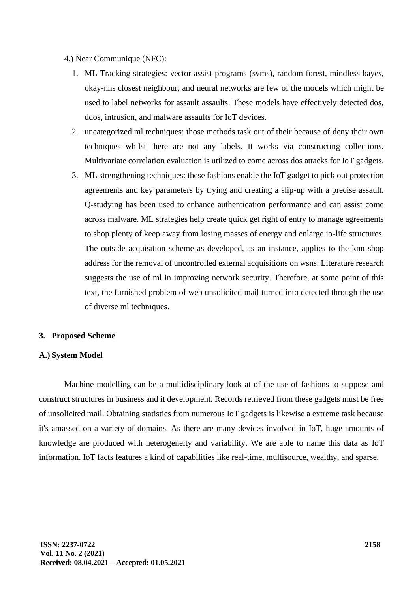- 4.) Near Communique (NFC):
	- 1. ML Tracking strategies: vector assist programs (svms), random forest, mindless bayes, okay-nns closest neighbour, and neural networks are few of the models which might be used to label networks for assault assaults. These models have effectively detected dos, ddos, intrusion, and malware assaults for IoT devices.
	- 2. uncategorized ml techniques: those methods task out of their because of deny their own techniques whilst there are not any labels. It works via constructing collections. Multivariate correlation evaluation is utilized to come across dos attacks for IoT gadgets.
	- 3. ML strengthening techniques: these fashions enable the IoT gadget to pick out protection agreements and key parameters by trying and creating a slip-up with a precise assault. Q-studying has been used to enhance authentication performance and can assist come across malware. ML strategies help create quick get right of entry to manage agreements to shop plenty of keep away from losing masses of energy and enlarge io-life structures. The outside acquisition scheme as developed, as an instance, applies to the knn shop address for the removal of uncontrolled external acquisitions on wsns. Literature research suggests the use of ml in improving network security. Therefore, at some point of this text, the furnished problem of web unsolicited mail turned into detected through the use of diverse ml techniques.

### **3. Proposed Scheme**

# **A.) System Model**

Machine modelling can be a multidisciplinary look at of the use of fashions to suppose and construct structures in business and it development. Records retrieved from these gadgets must be free of unsolicited mail. Obtaining statistics from numerous IoT gadgets is likewise a extreme task because it's amassed on a variety of domains. As there are many devices involved in IoT, huge amounts of knowledge are produced with heterogeneity and variability. We are able to name this data as IoT information. IoT facts features a kind of capabilities like real-time, multisource, wealthy, and sparse.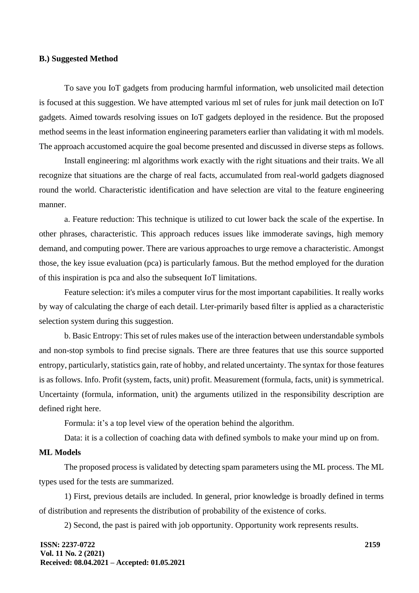### **B.) Suggested Method**

To save you IoT gadgets from producing harmful information, web unsolicited mail detection is focused at this suggestion. We have attempted various ml set of rules for junk mail detection on IoT gadgets. Aimed towards resolving issues on IoT gadgets deployed in the residence. But the proposed method seems in the least information engineering parameters earlier than validating it with ml models. The approach accustomed acquire the goal become presented and discussed in diverse steps as follows.

Install engineering: ml algorithms work exactly with the right situations and their traits. We all recognize that situations are the charge of real facts, accumulated from real-world gadgets diagnosed round the world. Characteristic identification and have selection are vital to the feature engineering manner.

a. Feature reduction: This technique is utilized to cut lower back the scale of the expertise. In other phrases, characteristic. This approach reduces issues like immoderate savings, high memory demand, and computing power. There are various approaches to urge remove a characteristic. Amongst those, the key issue evaluation (pca) is particularly famous. But the method employed for the duration of this inspiration is pca and also the subsequent IoT limitations.

Feature selection: it's miles a computer virus for the most important capabilities. It really works by way of calculating the charge of each detail. Lter-primarily based filter is applied as a characteristic selection system during this suggestion.

b. Basic Entropy: This set of rules makes use of the interaction between understandable symbols and non-stop symbols to find precise signals. There are three features that use this source supported entropy, particularly, statistics gain, rate of hobby, and related uncertainty. The syntax for those features is as follows. Info. Profit (system, facts, unit) profit. Measurement (formula, facts, unit) is symmetrical. Uncertainty (formula, information, unit) the arguments utilized in the responsibility description are defined right here.

Formula: it's a top level view of the operation behind the algorithm.

Data: it is a collection of coaching data with defined symbols to make your mind up on from.

### **ML Models**

The proposed process is validated by detecting spam parameters using the ML process. The ML types used for the tests are summarized.

1) First, previous details are included. In general, prior knowledge is broadly defined in terms of distribution and represents the distribution of probability of the existence of corks.

2) Second, the past is paired with job opportunity. Opportunity work represents results.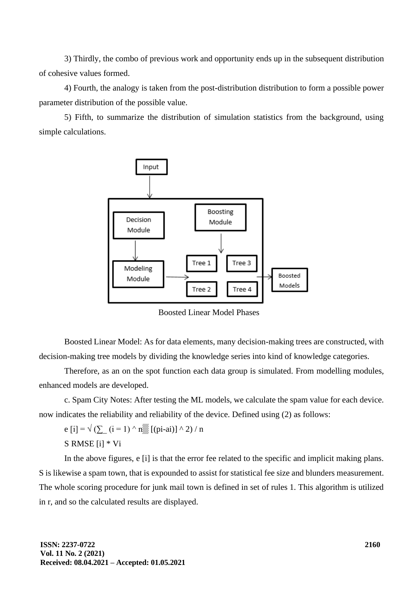3) Thirdly, the combo of previous work and opportunity ends up in the subsequent distribution of cohesive values formed.

4) Fourth, the analogy is taken from the post-distribution distribution to form a possible power parameter distribution of the possible value.

5) Fifth, to summarize the distribution of simulation statistics from the background, using simple calculations.



Boosted Linear Model Phases

Boosted Linear Model: As for data elements, many decision-making trees are constructed, with decision-making tree models by dividing the knowledge series into kind of knowledge categories.

Therefore, as an on the spot function each data group is simulated. From modelling modules, enhanced models are developed.

c. Spam City Notes: After testing the ML models, we calculate the spam value for each device. now indicates the reliability and reliability of the device. Defined using (2) as follows:

e [i] =  $\sqrt{(2)(i-1)} \wedge n$  [(pi-ai)]  $\wedge$  2) / n

S RMSE [i] \* Vi

In the above figures, e [i] is that the error fee related to the specific and implicit making plans. S is likewise a spam town, that is expounded to assist for statistical fee size and blunders measurement. The whole scoring procedure for junk mail town is defined in set of rules 1. This algorithm is utilized in r, and so the calculated results are displayed.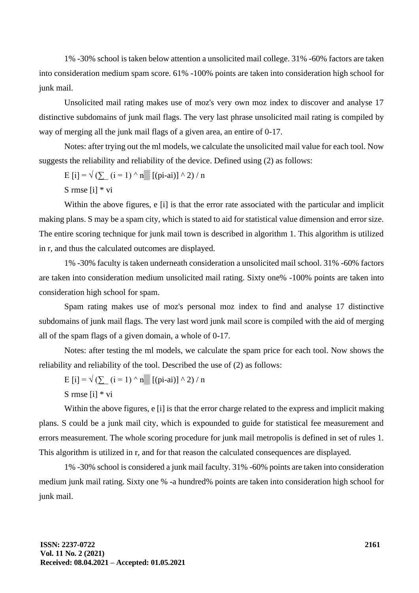1% -30% school is taken below attention a unsolicited mail college. 31% -60% factors are taken into consideration medium spam score. 61% -100% points are taken into consideration high school for junk mail.

Unsolicited mail rating makes use of moz's very own moz index to discover and analyse 17 distinctive subdomains of junk mail flags. The very last phrase unsolicited mail rating is compiled by way of merging all the junk mail flags of a given area, an entire of 0-17.

Notes: after trying out the ml models, we calculate the unsolicited mail value for each tool. Now suggests the reliability and reliability of the device. Defined using (2) as follows:

$$
E[i] = \sqrt{\left(\sum_{i=1}^{n} (i = 1) \wedge n_{\text{max}}^{\text{max}} \left[\left(\text{pi-}ai\right)\right] \wedge 2\right) / n}
$$

S rmse [i] \* vi

Within the above figures, e [i] is that the error rate associated with the particular and implicit making plans. S may be a spam city, which is stated to aid for statistical value dimension and error size. The entire scoring technique for junk mail town is described in algorithm 1. This algorithm is utilized in r, and thus the calculated outcomes are displayed.

1% -30% faculty is taken underneath consideration a unsolicited mail school. 31% -60% factors are taken into consideration medium unsolicited mail rating. Sixty one% -100% points are taken into consideration high school for spam.

Spam rating makes use of moz's personal moz index to find and analyse 17 distinctive subdomains of junk mail flags. The very last word junk mail score is compiled with the aid of merging all of the spam flags of a given domain, a whole of 0-17.

Notes: after testing the ml models, we calculate the spam price for each tool. Now shows the reliability and reliability of the tool. Described the use of (2) as follows:

E [i] =  $\sqrt{(2 \text{ } (i=1) \wedge n \text{ }}$  [(pi-ai)]  $\wedge$  2) / n

S rmse [i] \* vi

Within the above figures, e [i] is that the error charge related to the express and implicit making plans. S could be a junk mail city, which is expounded to guide for statistical fee measurement and errors measurement. The whole scoring procedure for junk mail metropolis is defined in set of rules 1. This algorithm is utilized in r, and for that reason the calculated consequences are displayed.

1% -30% school is considered a junk mail faculty. 31% -60% points are taken into consideration medium junk mail rating. Sixty one % -a hundred% points are taken into consideration high school for junk mail.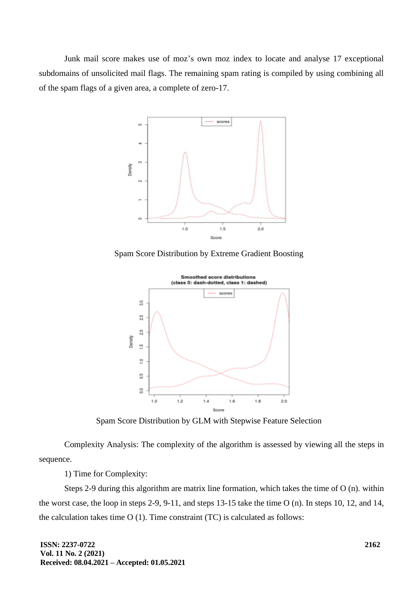Junk mail score makes use of moz's own moz index to locate and analyse 17 exceptional subdomains of unsolicited mail flags. The remaining spam rating is compiled by using combining all of the spam flags of a given area, a complete of zero-17.



Spam Score Distribution by Extreme Gradient Boosting



Spam Score Distribution by GLM with Stepwise Feature Selection

Complexity Analysis: The complexity of the algorithm is assessed by viewing all the steps in sequence.

1) Time for Complexity:

Steps 2-9 during this algorithm are matrix line formation, which takes the time of O (n). within the worst case, the loop in steps 2-9, 9-11, and steps 13-15 take the time O (n). In steps 10, 12, and 14, the calculation takes time O (1). Time constraint (TC) is calculated as follows: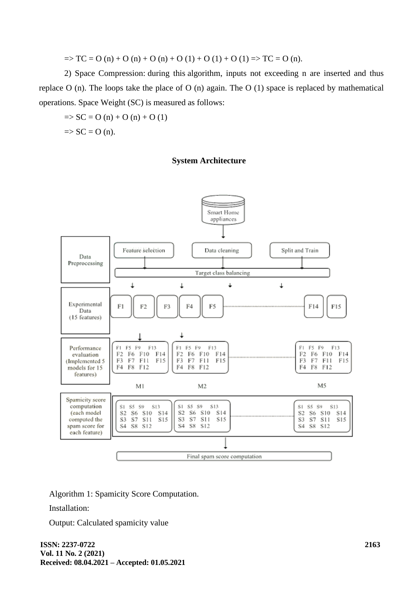$\Rightarrow$  TC = O (n) + O (n) + O (n) + O (1) + O (1) + O (1) => TC = O (n).

2) Space Compression: during this algorithm, inputs not exceeding n are inserted and thus replace O (n). The loops take the place of O (n) again. The O (1) space is replaced by mathematical operations. Space Weight (SC) is measured as follows:

 $\Rightarrow$  SC = O (n) + O (n) + O (1)  $\Rightarrow$  SC = O (n).

# **System Architecture**



Algorithm 1: Spamicity Score Computation.

Installation:

Output: Calculated spamicity value

**ISSN: 2237-0722 Vol. 11 No. 2 (2021) Received: 08.04.2021 – Accepted: 01.05.2021**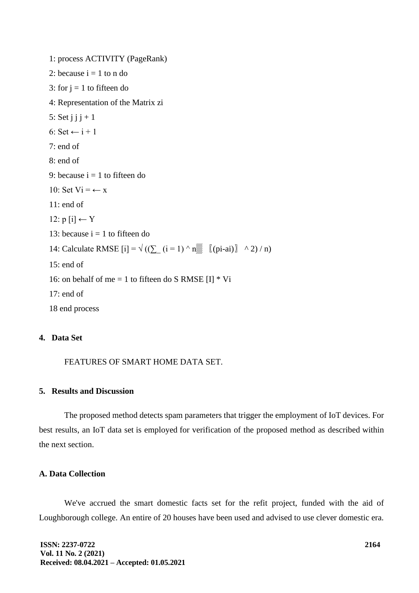1: process ACTIVITY (PageRank) 2: because  $i = 1$  to n do 3: for  $j = 1$  to fifteen do 4: Representation of the Matrix zi 5: Set  $j$   $j$   $j$  + 1 6: Set  $\leftarrow$  i + 1 7: end of 8: end of 9: because  $i = 1$  to fifteen do 10: Set  $Vi = \leftarrow x$ 11: end of 12:  $p[i]$  ← Y 13: because  $i = 1$  to fifteen do 14: Calculate RMSE  $[i] = \sqrt{((\sum_{i=1}^{\infty} (i = 1) \wedge n_{i=1}^{\infty} [(pi - ai)] \wedge 2) / n)}$ 15: end of 16: on behalf of me = 1 to fifteen do S RMSE  $[I]$  \* Vi 17: end of 18 end process

# **4. Data Set**

FEATURES OF SMART HOME DATA SET.

# **5. Results and Discussion**

The proposed method detects spam parameters that trigger the employment of IoT devices. For best results, an IoT data set is employed for verification of the proposed method as described within the next section.

# **A. Data Collection**

We've accrued the smart domestic facts set for the refit project, funded with the aid of Loughborough college. An entire of 20 houses have been used and advised to use clever domestic era.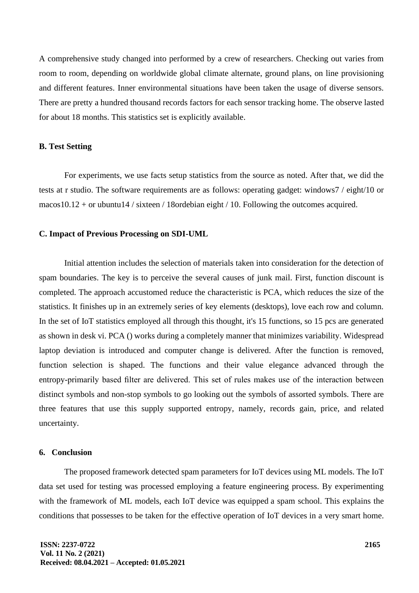A comprehensive study changed into performed by a crew of researchers. Checking out varies from room to room, depending on worldwide global climate alternate, ground plans, on line provisioning and different features. Inner environmental situations have been taken the usage of diverse sensors. There are pretty a hundred thousand records factors for each sensor tracking home. The observe lasted for about 18 months. This statistics set is explicitly available.

### **B. Test Setting**

For experiments, we use facts setup statistics from the source as noted. After that, we did the tests at r studio. The software requirements are as follows: operating gadget: windows7 / eight/10 or macos10.12 + or ubuntu14 / sixteen / 18ordebian eight / 10. Following the outcomes acquired.

#### **C. Impact of Previous Processing on SDI-UML**

Initial attention includes the selection of materials taken into consideration for the detection of spam boundaries. The key is to perceive the several causes of junk mail. First, function discount is completed. The approach accustomed reduce the characteristic is PCA, which reduces the size of the statistics. It finishes up in an extremely series of key elements (desktops), love each row and column. In the set of IoT statistics employed all through this thought, it's 15 functions, so 15 pcs are generated as shown in desk vi. PCA () works during a completely manner that minimizes variability. Widespread laptop deviation is introduced and computer change is delivered. After the function is removed, function selection is shaped. The functions and their value elegance advanced through the entropy-primarily based filter are delivered. This set of rules makes use of the interaction between distinct symbols and non-stop symbols to go looking out the symbols of assorted symbols. There are three features that use this supply supported entropy, namely, records gain, price, and related uncertainty.

#### **6. Conclusion**

The proposed framework detected spam parameters for IoT devices using ML models. The IoT data set used for testing was processed employing a feature engineering process. By experimenting with the framework of ML models, each IoT device was equipped a spam school. This explains the conditions that possesses to be taken for the effective operation of IoT devices in a very smart home.